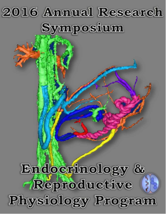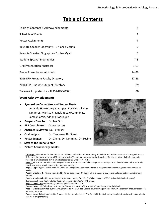# **Table of Contents**

| Table of Contents & Acknowledgements        |          |
|---------------------------------------------|----------|
| <b>Schedule of Events</b>                   | 3        |
| <b>Poster Assignments</b>                   | 4        |
| Keynote Speaker Biography - Dr. Chad Vezina | 5        |
| Keynote Speaker Biography - Dr. Les Myatt   | 6        |
| <b>Student Speaker Biographies</b>          | $7 - 8$  |
| <b>Oral Presentation Abstracts</b>          | $9 - 13$ |
| <b>Poster Presentation Abstracts</b>        | 14-26    |
| 2016 ERP Program Faculty Directory          | 27-28    |
| 2016 ERP Graduate Student Directory         | 29       |
| Trainees Supported by NIH T32-HD041921      | 30       |

#### **Event Acknowledgements**

- x **Symposium Committee and Session Hosts:**  Amanda Hankes, Bryan Ampey, Rosalina Villalon Landeros, Marissa Kraynak, Nicole Cummings, James Garcia, Adriana Rodriguez
- x **Program Director:** Dr. Ian Bird
- **ERP Coordinator:** Grace Jensen
- x **Abstract Reviewer:** Dr. Patankar
- x **Oral Judges:** Dr. Terasawa, Dr. Stanic
- x **Poster Judges:** Dr. Zheng, Dr. Lamming, Dr. Levine
- **Staff at the Fluno Center**
- x **Picture Acknowledgements:**



**Title Page:** Picture from Dr. Ted Golos's lab. A 3D reconstruction of the anatomy of the fetal and maternal vessels of a pregnant rhesus. Different colors show vena cava (G), uterine arteries (Y), mother's kidneys/uterine branches (O), venous return (light.B), chorionic vessels (P), umbilical cord (Pink), umbilical arteries (B), umbilical vein (R).

Page 2: Picture submitted from Dr. Mayra Pastore from Dr. Magness's lab. Image shows TEM pictures of endothelial cells specifically showing caveolae invaginations at the plasma membrane.

Page 3, Upper Right: Picture from Dr. Shah's lab. Image is of an ultrasound from a pregnant woman showing cord blood flow at 36 weeks.

Page 3, Middle Left: Picture submitted by Kenna Organ from Dr. Shah's lab and shows intervillous circulation between mother and embryo.

**Page 3, Middle Right:** Picture submitted by Amanda Hankes from Dr. Bird's lab. Image is of ZO-1 (gr) and VE-Cadherin (purp) fluorescence before (top) and after (bottom) exposure to 10ng/mL TNF-alpha.

**Page 3, Lower Left:** Submitted by Kenna Organ from Dr. Shah lab.

**Page 4, Lower Left:** Submitted by Dr. Mayra Pastore and shows a TEM image of caveolae on endothelial cells

**Page 4, Middle:** Submitted by Sydney Nguyen and is from Dr. Ted Golos's lab. MRI image of blood flow in a pregnant Rhesus Macaque in her third trimester.

**Page 4, Lower Right:** Submitted by Amanda Hankes from Dr. Fuxian Yi in Dr. Ian Bird's lab. Image of confluent uterine artery endothelial cells from pregnant sheep.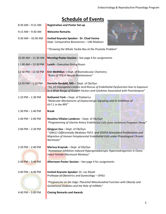# **Schedule of Events**

| 8:30 AM - 9:15 AM      | <b>Registration and Poster Set-up</b>                                                                                                                                                                                  |  |  |
|------------------------|------------------------------------------------------------------------------------------------------------------------------------------------------------------------------------------------------------------------|--|--|
| $9:15$ AM $-9:30$ AM   | <b>Welcome Remarks</b>                                                                                                                                                                                                 |  |  |
| $9:30$ AM $- 10:30$ AM | Invited Keynote Speaker: Dr. Chad Vezina<br>Dept. Comparative Biosciences - UW-Madison                                                                                                                                 |  |  |
|                        | "Throwing the Whole Tackle Box at the Prostate Problem"                                                                                                                                                                |  |  |
| 10:30 AM - 11:30 AM    | Morning Poster Session - See page 4 for assignments                                                                                                                                                                    |  |  |
| 11:30 AM - 12:30 PM    | Lunch - Executive Dining Room                                                                                                                                                                                          |  |  |
| 12:30 PM - 12:50 PM    | <b>Erin McMillan - Dept. of Biomolecular Chemistry</b><br>"Roles of TFG in Neural Maintenance"                                                                                                                         |  |  |
| 12:50 PM - 1:10 PM     | Danielle Berdahl, MD - Dept. of Ob/Gyn<br>"10, 12 Conjugated Linoleic Acid Rescue of Endothelial Dysfunction Due to Exposure<br>to a Wide Range of Growth Factors and Cytokines Associated with Preeclampsia"          |  |  |
| $1:10$ PM $- 1:30$ PM  | Nathaniel York - Dept. of Pediatrics<br>"Molecular Mechanisms of Oxytocinergic Signaling and its Inhibition of<br>Kir7.1 in the RPE"                                                                                   |  |  |
| 1:30 PM $-$ 1:40 PM    | <b>Break</b>                                                                                                                                                                                                           |  |  |
| 1:40 PM $-$ 2:00 PM    | Rosalina Villalon Landeros - Dept. of Ob/Gyn<br>"Programming of Uterine Artery Endothelial Cells from Unilateral Pregnant Sheep"                                                                                       |  |  |
| $2:00$ PM $- 2:20$ PM  | Qingyun Zou - Dept. of Ob/Gyn<br>" GNA11 Differentially Mediates FGF2- and VEGFA-Stimulated Proliferation and<br>Migration of Human Fetoplacental Endothelial Cells under Physiological Chronic<br>Normoxia"           |  |  |
| $2:20$ PM $- 2:40$ PM  | Marissa Kraynak - Dept. of Ob/Gyn<br>"Aromatase Inhibition Induced Hypergonadotropic Hyperandrogenism in Ovary<br>Intact Female Marmoset Monkeys"                                                                      |  |  |
| $2:40$ PM $- 3:40$ PM  | Afternoon Poster Session - See page 4 for assignments                                                                                                                                                                  |  |  |
| 3:40 PM $-$ 4:40 PM    | Invited Keynote Speaker: Dr. Les Myatt<br>Professor of Obstetrics and Gynecology - OHSU<br>"Pregnancies on the Edge: Placental Mitochondrial Function with Obesity and<br>Gestational Diabetes and the Role of miRNAs" |  |  |
| 4:40 PM $-$ 5:00 PM    | <b>Closing Remarks and Awards</b>                                                                                                                                                                                      |  |  |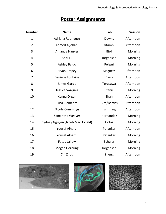# **Poster Assignments**

| <b>Number</b>  | <b>Name</b>                     | Lab                 | <b>Session</b> |
|----------------|---------------------------------|---------------------|----------------|
| $\mathbf{1}$   | Adriana Rodriguez               | Downs               | Afternoon      |
| $\overline{2}$ | Ahmed Aljohani                  | Ntambi              | Afternoon      |
| 3              | <b>Amanda Hankes</b>            | <b>Bird</b>         | Morning        |
| 4              | Angi Fu                         | Jorgensen           | Morning        |
| 5              | <b>Ashley Baldo</b>             | Pelegri             | Morning        |
| 6              | <b>Bryan Ampey</b>              | <b>Magness</b>      | Afternoon      |
| 7              | Danielle Fontaine               | Davis               | Afternoon      |
| 8              | James Garcia                    | Terasawa            | Afternoon      |
| 9              | Jessica Vazquez                 | <b>Stanic</b>       | Morning        |
| 10             | Kenna Organ                     | Shah                | Afternoon      |
| 11             | Luca Clemente                   | <b>Bird/Bertics</b> | Afternoon      |
| 12             | <b>Nicole Cummings</b>          | Lamming             | Afternoon      |
| 13             | Samantha Weaver                 | Hernandez           | Morning        |
| 14             | Sydney Nguyen (Jacob MacDonald) | Golos               | Morning        |
| 15             | Yousef Alharbi                  | Patankar            | Afternoon      |
| 16             | <b>Yousef Alharbi</b>           | Patankar            | Morning        |
| 17             | Fatou Jallow                    | Schuler             | Morning        |
| 18             | <b>Megan Hornung</b>            | Jorgensen           | Morning        |
| 19             | Chi Zhou                        | Zheng               | Afternoon      |





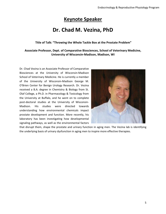## **Keynote Speaker**

# **Dr. Chad M. Vezina, PhD**

#### **Title of Talk: "Throwing the Whole Tackle Box at the Prostate Problem"**

**Associate Professor, Dept. of Comparative Biosciences, School of Veterinary Medicine, University of Wisconsin-Madison, Madison, WI**

Dr. Chad Vezina is an Associate Professor of Comparative Biosciences at the University of Wisconsin-Madison School of Veterinary Medicine. He is currently a member of the University of Wisconsin-Madison George M. O'Brien Center for Benign Urology Research. Dr. Vezina received a B.A. degree in Chemistry & Biology from St. Olaf College, a Ph.D. in Pharmacology & Toxicology from the University at Buffalo, and he went on to complete post-doctoral studies at the University of Wisconsin-Madison. His studies were directed towards understanding how environmental chemicals impact prostate development and function. More recently, his laboratory has been investigating how developmental signaling pathways, as well as the environmental factors



that disrupt them, shape the prostate and urinary function in aging men. The Vezina lab is identifying the underlying basis of urinary dysfunction in aging men to inspire more effective therapies.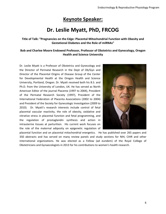# **Keynote Speaker:**

# **Dr. Leslie Myatt, PhD, FRCOG**

**Title of Talk: "Pregnancies on the Edge: Placental Mitochondrial Function with Obesity and Gestational Diabetes and the Role of miRNAs"**

#### **Bob and Charlee Moore Endowed Professor, Professor of Obstetrics and Gynecology, Oregon Health and Science University**

Dr. Leslie Myatt is a Professor of Obstetrics and Gynecology and the Director of Perinatal Research in the Dept of Ob/Gyn and Director of the Placental Origins of Disease Group of the Center for Developmental Health at the Oregon Health and Science University, Portland, Oregon. Dr. Myatt received both his B.S. and Ph.D. from the University of London, UK. He has served as North American Editor of the journal Placenta (1997 to 2004), President of the Perinatal Research Society (1997), President of the International Federation of Placenta Associations (2002 to 2004) and President of the Society for Gynecologic Investigation (2009 to 2010). Dr. Myatt's research interests include control of fetal placental vascular reactivity, the role of obesity, oxidative and nitrative stress in placental function and fetal programming, and the regulation of prostaglandin synthesis and action in intrauterine tissues at parturition. His current work focuses on the role of the maternal adiposity on epigenetic regulation of



placental function and on placental mitochondrial energetics. He has published over 265 papers and 350 abstracts and has served on many review panels and study sections for NIH, CIHR and other international organizations. He was elected as a Fellow (ad eundem) of the Royal College of Obstetricians and Gynaecologists in 2013 for his contributions to women's health research.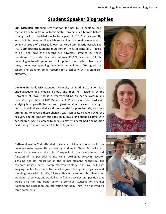### **Student Speaker Biographies**

**Erin McMillan** attended UW-Madison for her BS in Zoology, and received her MBA from California State University-San Marcos before coming back to UW-Madison to be a part of ERP. She is currently working in Dr. Anjon Audhya's lab, researching the possible mechanism behind a group of diseases known as Hereditary Spastic Paraplegias (HSP). Erin specifically studies mutations in Trk-fused gene (TFG), linked to HSP and how the neurons are adversely affected by these mutations. To study this, she utilizes CRISPR-Cas9 and TALEN technologies to edit genomes of pluripotent stem cells. In her spare time, she enjoys spending time with her children. After graduate school, she plans on doing research for a company with a stem cell platform.



**Danielle Berdahl, MD** attended University of South Dakota for both undergraduate and medical school, and then her residency at the University of Iowa. She is currently working on her fellowship and master's degree here at UW-Madison in ERP. She is in Dr. Ian Bird's lab, studying how growth factors and cytokines affect calcium bursting in human umbilical endothelial cells as a model for preeclampsia, and then attempting to reverse these changes with conjugated linoleic acid. She has very limited time off but does enjoy music and spending time with her children. She is planning to pursue a maternal fetal medicine position next, though the location is yet to be determined.

**Nathaniel Walter York** attended University of Missouri-Columbia for his undergraduate degree. He is currently working in Bikash Pattnaik's lab, where he is studying the role of oxytocin in the development and function of the posterior retina. He is looking at oxytocin receptor signaling and its implication in the retinal pigment epithelium. His research utilizes patch clamp electrophysiology, and live cell  $Ca^{2+}$ imaging. In his free time, Nathaniel enjoys playing video games and spending time with his wife, Ali York. He's not certain of his plans after graduate school yet, but would like to find a post-doctoral position that would give him the opportunity to continue studying ion channel function and regulation. An interesting fact about him—he has lived on three continents!



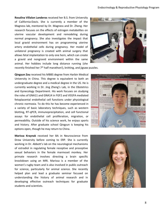**Rosalina Villalon Landeros** received her B.S. from University of California-Davis. She is currently a member of the Magness lab, mentored by Dr. Magness and Dr. Zheng. Her research focuses on the effects of estrogen metabolites on uterine vascular development and remodeling during normal pregnancy. She also investigates the impact that local gravid environment has on programming uterine artery endothelial cells during pregnancy. Her model of unilateral pregnancy is created with animal surgery that allows fetal implantation to only one horn, which can create a gravid and nongravid environment within the same animal. Her hobbies include long distance running (she



recently finished her  $7<sup>th</sup>$  half marathon!), knitting, and jigsaw puzzles.

**Qingyun Zou** received his MBBS degree from Harbin Medical University in China. This degree is equivalent to both an undergraduate degree and a medical degree in the US. He is currently working in Dr. Jing Zheng's Lab, in the Obstetrics and Gynecology Department. His work focuses on studying the roles of GNA11 and GNA14 in FGF2 and VEGFA mediated fetoplacental endothelial cell functions under physiological chronic normoxia. To do this he has become experienced in a variety of basic laboratory techniques, such as western blotting, RT-qPCR, immunoprecipitation, and cell functional assays for endothelial cell proliferation, migration, or permeability. Outside of his science work, he enjoys sports and history. After graduate school Qingyun is keeping his options open, though he may return to China.

**Marissa Kraynak** received her BA in Neuroscience from Drew University before coming to ERP. She is currently working in Dr. Abbott's lab on the neurological mechanisms of estradiol in regulating female receptive and proceptive sexual behaviors in the female marmoset monkey. Her primate research involves directing a brain specific knockdown using an MRI. Marissa is a member of the women's rugby team and is also involved in public outreach for science, particularly for animal science. She recently helped plan and lead a graduate seminar focused on understanding the history of animal research and in developing effective outreach techniques for graduate students and scientists.



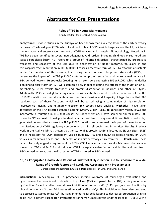## **Abstracts for Oral Presentations**

#### **Roles of TFG in Neural Maintenance**

Erin McMillan, Jennifer Bird, Anjon Audhya

**Background**: Previous studies in the Audhya lab have shown that a key regulator of the early secretory pathway is Trk-fused gene (TFG), which localizes to sites of COPII vesicle biogenesis on the ER, facilitates the formation and anterograde transport of COPII vesicles, and maintains ER morphology. Mutations in TFG have been identified in several neurodegenerative disorders, including childhood-onset hereditary spastic paraplegia (HSP). HSP refers to a group of inherited disorders, characterized by progressive weakness and spasticity of the legs due to degeneration of upper motorneuron axons in the corticospinal tract. A mutation in TFG (p.R106C) causes a recessive form of HSP. To establish a tractable model for the study of this disease, I am using human induced pluripotent stem cells (iPSCs) to determine the impact of the TFG p.R106C mutation on protein secretion and neuronal maintenance in iPSC-derived neurons. **Hypothesis**: Creating human stem cells expressing TFG p.R106C, which underlies a childhood onset form of HSP, will establish a new model to define the effects of the mutation on ER morphology, COPII vesicle transport, and protein distribution in neurons and other cell types. Additionally, iPSC-derived glutamatergic neurons will establish a model to define the impact of the TFG p.R106C mutation on neural maintenance, neurite extension and longevity. I hypothesize that TFG regulates each of these functions, which will be tested using a combination of high-resolution fluorescence imaging and ultimately electron microscopy-based analysis. **Methods**: I have taken advantage of the RNA-directed genome editing system, CRISPR/Cas9, to genetically modify iPSCs and incorporate a mutation in TFG that causes neurodegeneration. I have screened approximately 300 clones by PCR and restriction digest to identify mutant cell lines. Using neural differentiation protocols, I generated neurons that express the TFG p.R106C mutation and examined the impact of the mutation on the distribution of COPII regulatory components both in cell bodies and in neurites. **Results**: Previous work in the Audhya lab has shown that the scaffolding protein Sec16 is located at ER exit sites (ERES) and is necessary for COPII-dependent vesicle budding. TFG and Sec31A co-localize tightly on COPII vesicles in mammalian cells, and TFG depletion inhibits secretory efflux from the ER. **Conclusion**: These data collectively suggest a requirement for TFG in COPII vesicle transport in cells. My recent studies have shown that TFG and Sec31A co-localize on COPII transport carriers in both cell bodies and neurites of iPSC-derived neurons, but the distribution of TFG is altered in iPSC-derived.

### **10, 12 Conjugated Linoleic Acid Rescue of Endothelial Dysfunction Due to Exposure to a Wide Range of Growth Factors and Cytokines Associated with Preeclampsia**

Danielle Berdahl, Nauman Khurshid, Derek Boeldt, Ian Bird, and Dinesh Shah

**Introduction:** Preeclampsia (PE), a pregnancy specific syndrome of multi-organ dysfunction and hypertension, has been linked to elevation of cytokines (Cyt) and growth factors (GF) causing endothelial dysfunction. Recent studies have shown inhibition of connexin 43 (Cx43) gap junction function by phosphorylation via Src and Erk kinases stimulated by GF and Cyt. This inhibition has been demonstrated to decrease sustained phase Ca<sup>2+</sup> bursting in endothelial cells leading to decreased production of nitric oxide (NO), a potent vasodilator. Pretreatment of human umbilical vein endothelial cells (HUVEC) with a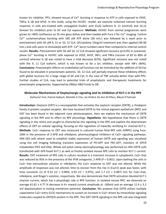known Src inhibitor, PP2, showed rescue of Ca<sup>2+</sup> bursting in response to ATP in cells exposed to VEGF, TNF $\alpha$ , IL-1 $\beta$  and bFGF. In this study, using the HUVEC -model, we examine sustained calcium bursting response in cells pre-treated with conjugated linoleic acid (CLA) isoforms 9, 11 (control) and 10,12 (known Src inhibitor) prior to GF and Cyt exposure. **Methods:** HUVEC from normal pregnancies were grown to >90% confluence on 35 mm glass dishes and then loaded with Fura-2 for  $Ca<sup>2+</sup>$  imaging. Control  $Ca<sup>2+</sup>$  sustained-phase bursting with 100 uM ATP alone (30 min.) was followed by a wash prior to pretreatment with 50 uM 9, 11 or 10, 12 CLA. GF/cytokine 10ng/ml treatment was then applied (30-60 min.) and cells were re-stimulated with ATP.  $Ca<sup>2+</sup>$  burst numbers were then compared to internal control results. **Results:** Pretreatment with 50 uM 10, 12 CLA showed significant recovery (p<0.05) in sustainedphase Ca²⁺ bursting in HUVEC cells exposed to VEGF, bFGF, INFɤ, and TNFα (recover of 82 to 88% of control) whereas IL-1β was noted to have a mild decrease (67%). Significant recovery was not noted with the 9, 11 CLA isoform, which is not known to be a Src inhibitor, except with INF x (84%). **Conclusions:** Preeclamptic effects on endothelial cell function can be mimicked by the addition of GF/cyt found to be elevated in preeclamptic patients. 10, 12 CLA, will partially improve these inhibitory effects with global recovery for a large range of GF and Cyt; in the case of TNF actually better than with PP2. Further studies of CLA, may lead to potential trials of prophylactic and therapeutic treatments for preeclamptic pregnancies. Supported by OBGyn R&D funds to DB.

#### **Molecular Mechanisms of Oxytocinergic signaling and its inhibition of Kir7.1 in the RPE**

Nathaniel York, Patrick Halbach, Michelle A Chiu, Ian M Bird, De-Ann M Pillers, Bikash R Pattnaik

**Introduction**: Oxytocin (OXT) is a neuropeptide that activates the oxytocin receptor (OXTR), a rhodopsin family G-protein coupled receptor. We have localized OXTR to the retinal pigment epithelium (RPE) and OXT has been found in the adjacent cone photoreceptors. Here we explore the mechanism of OXTR signaling in the RPE and its effect on RPE physiology. **Hypothesis**: We hypothesize that there is OXTR signaling in the retina and sought to characterize this signaling in the RPE and explore the downstream effects of OXT on cellular signaling, focusing on the regulation of inwardly rectifying K+ channel Kir7.1. **Methods**: Ca2+ response to OXT was measured in cultured human fetal RPE cells (hfRPE) using Fura-2AM in the presence of 2-APB and nifedipine, pharmacological inhibitors of Ca2+ signaling pathways. HEK-293 cells where used to establish stable expression of human OXTR and signaling was visualized using live cell imaging following transient expression of PH-GFP and PKC-GFP, monitors of GPCR metabolites PIP2 and DAG. Whole cell patch clamp electrophysiology was performed on HEK-OXTR cells transfected with GFP-fused Kir7.1 as well as freshly isolated mouse RPE cells to monitor Kir7.1 current. **Results**: OXT treatment of RPE cells in culture resulted in a transient increase in cytoplasmic Ca2+ that was reduced by 95% in the presence of the IP3R antagonist, 2-APB (P < 0.001). Upon bathing the cells in Ca2+ free extracellular solution or nifedipine, the Ca2+ response to OXT was not altered. While the amplitude of responses was not altered, time to recover from the rise in [Ca2+]i peak was faster, with time constants (τ) of 0.53 (r2 = 0.983), 0.93 (r2 = 0.975), and 1.7 (r2 = 0.987) min for Ca2+-free, nifedipine, and Ringer's solution, respectively. We also demonstrate that OXTR activation blunted Kir7.1 channel current, which has a physiologic role in RPE function. In isolated mouse RPE, we observed an average 61.81  $\pm$  4.77 % decrease in K+ inward current amplitude at -160mV and an average 11.4  $\pm$  3.2 mV depolarization in resting membrane potential. **Conclusion**: We propose that OXTR utilizes multiple capacitative Ca2+ entry (CCE) mechanisms to sustain an increase in Ca2+ driven by intracellular signaling molecules coupled to OXTR/G-protein in the RPE. This OXT-OXTR signaling in the RPE cell also integrated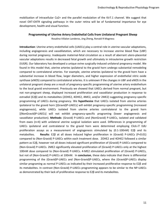mobilization of intracellular Ca2+ and the parallel modulation of the Kir7.1 channel. We suggest that novel OXT-OXTR signaling pathways in the outer retina will be of fundamental importance for eye development, health and visual function.

#### **Programming of Uterine Artery Endothelial Cells from Unilateral Pregnant Sheep**

Rosalina Villalon Landeros, Jing Zheng, Ronald R Magness

**Introduction**: Uterine artery endothelial cells (UAECs) play a central role in uterine vascular adaptations, including angiogenesis and vasodilatation, which are necessary to increase uterine blood flow (UBF) during normal pregnancy. Inadequate maternal-fetal circulation as a result of aberrant utero-placental vascular adaptations results in decreased fetal growth and ultimately in intrauterine growth restriction (IUGR). Our laboratory has developed a unique ovine surgically-induced unilateral pregnancy model. We found in this model that, uterine arteries ipsilateral to the gravid horn undergo substantial remodeling compared to contralateral arteries. For example, uterine arteries ipsilateral to the gravid horn have a substantial increase in blood flow, larger diameters, and higher expression of endothelial nitric oxide synthase (eNOS) compared to contralateral arteries. It is unknown if the changes in UBF and eNOS in the unilateral pregnant sheep are a result of pregnancy-specific programming of uterine artery endothelium to the local gravid environment. Previously we showed that UAECs derived from normal pregnant, but not non-pregnant sheep, displayed increased proliferation and vasodilator production in response to estradiol (E2β) and its metabolites (2OHE2, 4OHE2, 4ME2, and/or 2ME2) suggesting pregnancy-specific programming of UAECs during pregnancy. We **hypothesize** that UAECs isolated from uterine arteries ipsilateral to the gravid horn [(Gravid)P-UAECs] will exhibit pregnancy-specific programming (increased angiogenesis), while UAECs isolated from uterine arteries contralateral to the gravid horn [(NonGravid)P-UAECs] will not exhibit pregnancy-specific programing (lower angiogenesis and vasodilator production). **Methods**: (Gravid) P-UAECs and (NonGravid) P-UAECs, isolated and validated from ewes (n=4) with unilateral uterine surgical isolation were used. Differences in programming of UAECs ipsilateral and contralateral to the gravid horn were determined employing Click-iT EdU proliferation assays as a measurement of angiogenesis stimulated by (0.1-100nM) E2β and its metabolites. **Results**: E2β at all doses induced higher proliferation in (Gravid) P-UAECs (P<0.01) compared to (Non-Gravid) P-UAECs within each treatment dose. 2OHE2 and 4OHE2 followed a similar pattern as E2β, however not all doses induced significant proliferation of (Gravid) P-UAECs compared to (Non-Gravid) P-UAECs. 2ME2 significantly elevated proliferation of (Gravid) P-UAECs only at the highest 100nM dose compared to (Non-Gravid) P-UAECs. 4-ME2 stimulated proliferation of (Gravid) P-UAECs, but not of (Non-Gravid) P-UAECs at 100nM. In **conclusion**, these data indicate that there is differential programming of the (Gravid)P-UAECs and (Non-Gravid)P-UAECs, where the (Gravid)P-UAECs display similar programing as normal P-UAECs as indicated by their increased proliferative response to E2β and its metabolites. In contrast (Non-Gravid) P-UAECs programming appears to be similar to the NP-UAECs as demonstrated by their lack of proliferative response to E2β and its metabolites.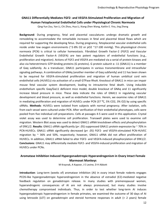#### **GNA11 Differentially Mediates FGF2- and VEGFA-Stimulated Proliferation and Migration of Human Fetoplacental Endothelial Cells under Physiological Chronic Normoxia**

Qing-Yun Zou, Yan Li, Chi Zhou, Hua Li, Xiang-Zhen Wang, Kaitlin E. Yira, Jing Zheng

**Background**: During pregnancy, fetal and placental vasculatures undergo dramatic growth and remodeling to accommodate the remarkable increases in fetal and placental blood flows which are required for supporting the developing fetus. During pregnancy, fetoplacental vascular endothelial cells reside under low oxygen environments (~2-8% O2 or pO2 ~17-100 mmHg). This physiological chronic normoxia (PCN) is critical to cellular homeostasis. Fibroblast Growth Factor-2 (FGF2) and Vascular Endothelial Growth Factor-A (VEGFA) are two potent regulators of endothelial functions (e.g., proliferation and migration). Actions of FGF2 and VEGFA are mediated via a serial of protein kinases and also via heterotrimeric GTP-binding proteins (G proteins). G protein subunit α -11 (GNA11) is a member of Gαq subfamily. As a transducer, GNA11 participates in various transmembrane and intracellular signaling pathways. A combination of GNAq (another member of Gαq subfamily) and 11 has been shown to be required for VEGFA-stimulated proliferation and migration of human umbilical cord vein endothelial cells (HUVECs) via activation of a small GTPase RhoA. Knockout of GNA11 in mice can impair mouse fetal vascular system development, leading to intrauterine fetal death. Using inducible endothelium specific Gαq/Gα11 deficient mice model, double knockout of GNAq and 11 significantly increase blood pressure in mice. These data indicate the roles of GNA11 in regulating vascular development and blood pressure, as well as endothelial functions. Herein, we examine roles of GNA11 in mediating proliferation and migration of HUVECs under PCN (37  $\degree$ C, 5% CO2, 3% O2) by using specific siRNAs. **Methods**: HUVECs were isolated from subjects with normal pregnancy. After isolation, cells from each vessel were cultured under PCN. After verification of their endothelial phenotypes, cells were pooled from five individual cell preparations. Cells at passages 4-5 were used in this application. Crystal violet assay was used to determine cell proliferation. Transwell plates were used to examine cell migration. Western Blot assay was used to detect GNA11 siRNA knockdown effects and phosphorylation of ERK1/2. **Results**: GNA11 siRNA significantly (p< .05) suppressed GNA11 protein expression by ~ 70% in PCN-HUVECs. GNA11 siRNA significantly decreased (p< .05) FGF2- and VEGFA-stimulated PCN-HUVEC migration by  $\sim$  36% and 50%, respectively; however, GNA11 siRNA did not affect proliferation of HUVECs. In addition, GNA11 siRNA failed to alter FGF2- and VEGFA-induced phosphorylation of ERK1/2. **Conclusions**: GNA11 may differentially mediate FGF2- and VEGFA-induced proliferation and migration of HUVECs under PCNs.

#### **Aromatase Inhibition Induced Hypergonadotropic Hyperandrogenism in Ovary Intact Female Marmoset Monkeys**

M Kraynak, A Kapoor, J E Levine, D H Abbott

**Introduction**: Long-term (weeks of) aromatase inhibition (AI) in ovary intact female rodents engages PCOS-like hypergonadotropic hyperandrogenism in the absence of estradiol (E2)-mediated negative feedback regulation on gonadotropin release. In many studies with premenopausal women, hyperandrogenic consequences of AI are not always pronounced, but many studies involve chemotherapy compromised individuals. Thus, in order to test whether long-term AI induces hypergonadotropic hyperandrogenism in female primates, we examined the outcome of 30 days of AI using letrozole (LET) on gonadotropin and steroid hormone responses in adult (> 2 years) female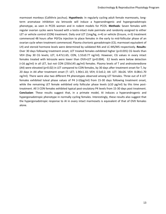marmoset monkeys (Callithrix jacchus). **Hypothesis**: In regularly cycling adult female marmosets, longterm aromatase inhibition via letrozole will induce a hyperandrogenic and hypergonadotropic phenotype, as seen in PCOS women and in rodent models for PCOS. **Methods**: Seven females with regular ovarian cycles were housed with a testis-intact male pairmate and randomly assigned to either LET or vehicle control (CON) treatment. Daily oral LET (1mg/kg, n=4) or vehicle (Ensure, n=3) treatment commenced 48 hours after PGF2α injection to place females in the early to mid-follicular phase of an ovarian cycle when treatment commenced. Plasma chorionic gonadotropin (CG; marmoset equivalent of LH) and steroid hormone levels were determined by validated RIA and LC-MS/MS respectively. **Results**: Over 30 days following treatment onset, LET treated females exhibited higher (p=0.035) CG levels than VEH (Day 30 CG levels; LET, 6.47±1.65; CON, 1.55±0.77 ng/ml). However, CG values in ovary intact females treated with letrozole were lower than OVX+LET (p<0.004). E2 levels were below detection (<16 pg/ml) in all LET, but not CON (250±145 pg/ml) females. Plasma levels of T and androstenedione (A4) were elevated (p=0.02) in LET compared to CON females, by 30 days after treatment onset for T, by 20 days in A4 after treatment onset (T: LET; 1.90±1.10; VEH; 0.5±0.2; A4: LET: 36±26. VEH: 8.08±1.70 ng/ml). There were also two different P4 phenotypes observed among LET females. Three out of 4 LET females exhibited luteal phase values of P4 (>10pg/ml) from 15-30 days following treatment onset, while the remaining LET female exhibited only follicular phase levels (≤10 pg/ml) by this time posttreatment. All 3 CON females exhibited typical post-ovulatory P4 levels from 15-30 days post treatment. **Conclusion**: These results suggest that, in a primate model, AI induces a hyperandrogenic and hypergonadotropic phenotype in normally cycling females. Interestingly, these results also suggest that the hypergonadotropic response to AI in ovary intact marmosets is equivalent of that of OVX females alone.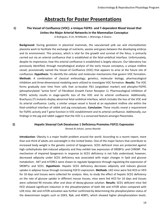### **Abstracts for Poster Presentations**

#### **1) The Vessel of Confluence (VOC): a Unique FGFR1- and T-dependent Blood Vessel that Unites the Major Arterial Networks in the Mammalian Conceptus**

A Rodriguez, D Jin, M Mikedis, L Wierenga, K Downs

**Background**: During gestation in placental mammals, the vascularized yolk sac and chorioallantoic placenta work to facilitate the exchange of nutrients, wastes and gases between the developing embryo and its environment. This process, which is vital for the growth and survival of the fetus, is primarily carried out via an arterial confluence that is established at the fetal-umbilical interface. Unfortunately, despite its importance, how this arterial confluence is established is largely obscure. Our laboratory has previously identified, through morphological analysis of the early mouse conceptus, a unique midline vessel, provisionally named the Vessel of Confluence (VOC) that appears to arise at the future site of confluence. **Hypothesis**: To identify the cellular and molecular mechanisms that govern VOC formation. **Methods**: A combination of classical embryology, genetics, molecular biology, pharmacological inhibition and three-dimensional modeling were utilized to investigate VOC formation. **Results**: The VOC forms gradually over time from cells that co-localize Flk1 (angioblast marker) and phospho-FGFR1 (phosphorylated "active form" of Fibroblast Growth Factor Receptor 1). Pharmacological inhibition of FGFR1 activity results in stage-specific loss of the VOC and its arterial confluence. Additionally, Brachyury (T) mutants display abnormal fetal-umbilical interface, which includes the loss of the VOC and its arterial confluence. Lastly, a similar unique vessel is found at an equivalent midline site within the fetal-umbilical interface of rabbit and pig conceptuses. **Conclusion**: These results reveal a requirement for FGFR1 activity and T gene function in VOC establishment and its arterial confluence. Additionally, our findings in the pig and rabbit suggest that the VOC is a conserved feature amongst Placentalia.

#### **2) Hepatic Stearoyl CoA Desaturase 1 Deficiency Promotes FGF21 Expression**

Ahmed Al-Johani, James Ntambi

**Introduction**: Obesity is a major health problem around the world. According to a recent report, more than one third of adults are overweight in the United States. One of the major factors that contribute to increased body weight is the genetic control of lipogenesis. SCD1 deficient mice are protected against high carbohydrate diet-induced adiposity and they exhibit low expression of SREBP1c and CHREBP. The mechanism of impaired lipogenesis in response to SCD1 deficiency is not fully understood; however, decreased adiposity under SCD1 deficiency was associated with major changes in lipid and glucose metabolism. AKT and mTORC1 were shown to regulate lipogenesis through regulating the expression of SREBP1c and SCD1. **Hypothesis**: Hepatic SCD1 deficiency decreases adiposity and induces glucose uptake in adipose tissue through increasing FGF21 expression. **Methods**: LKO mice were fed HCD or HFD for 10 days and tissues were collected for analysis. Also, to study the effect of hepatic SCD1 deficiency on the rate of glucose uptake in different mouse tissues, mice were fed HCD for 10 days and tissues were collected 90 minutes after oral dose of deoxy-glucose solution. **Results**: SCD1 deficient mice fed HCD showed significant induction in the phosphorylation of both Akt and mTOR when compared with LOX mice. Akt and mTOR activation was further confirmed by determining the phosphorylation status of the downstream targets such as GSK3, Rp6, and 4EBP1, which showed higher phosphorylation levels.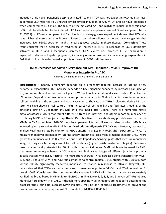Induction of de novo lipogenesis despite activated Akt and mTOR was not evident in HCD fed LKO mice. In contrast LKO mice fed HFD showed almost similar induction of Akt, mTOR and de novo lipogenesis when compared to LOX mice. The failure of the activated AKT and mTOR to induce lipogenesis upon HCD could be attributed to the induced mRNA expression and plasma levels of Fibroblast growth factor 21(FGF21) in LKO mice compared to LOX mice. In vivo deoxy-glucose experiment showed that LKO mice have higher glucose uptake in brown adipose tissue, white adipose tissue and liver suggesting that increased liver FGF21 secretion might increase glucose uptake in these tissues. **Conclusion**: These results suggest that a decrease in MUFAs/or an increase in SFAs, in response to SCD1 deficiency, activates mTORC1 and subsequently increases FGF21 expression. Increased FGF21 expression is expected to decrease hepatic lipogenesis, increase glucose uptake and increase energy expenditure in BAT that could explain decreased adiposity observed in SCD1 deficient mice.

#### **3) TNFα Decreases Monolayer Resistance but MMP Inhibitor GM6001 Improves the Monolayer Integrity in P-UAEC**

Amanda C Hankes, Mary A Grummer, and Ian M Bird

**Introduction**: A healthy pregnancy depends on a pregnancy-adapted increase in uterine artery endothelial vasodilation. This increase depends on Ca2+ signaling enhanced by increased gap junction (GJ) communication at cell-cell contact points. Without such adaptation, diseases such as Preeclampsia (PE) occur. Beyond hypertension, edema and proteinuria occur in PE due to an increase in endothelial cell permeability in the systemic and renal vasculature. The cytokine TNF $\alpha$  is elevated during PE. Long term, we have shown in cell culture TNFα increases cell permeability and facilitates shedding of the junctional protein VE-cadherin (VE-Cad) into the media after 18hrs. There are numerous matrix metalloproteases (MMP) that target different extracellular proteins, and others report an imbalance of circulating MMP in PE subjects. **Hypothesis**: Our objective is to establish any possible role for specific MMPs in TNFα-stimulated P-UAEC monolayer permeability, and if we can identify which MMPs are involved by using selective MMP inhibitors. **Methods**: An Affymetrix ST1.0 Ovine microarray was used to analyze MMP transcripts by monitoring RNA transcript changes in P-UAEC after exposure to TNFα. To measure monolayer permeability, uterine artery endothelial cells from pregnant sheep(P-UAEC) were grown to confluence on ECIS (Electric Cell-substrate Impedance Sensing) plates that measure monolayer integrity using an alternating current for cell resistance (higher resistance=better integrity). Cells were serum starved and pretreated for 30min with or without different MMP inhibitors followed by TNFα treatment. Immunocytochemistry (ICC) was run to obtain visual images of different junctional proteins in cells treated with TNFα. **Results**: The microarrays showed TNFα increased gene transcripts for MMP-1, 3, and 12 to 3.79, 2.74, and 7.12 fold compared to control (p<0.01). ECIS studies with GM6001, both 50 and 100uM significantly recovered monolayer resistance in response to TNFα (1,10ng/mL). ICC demonstrated that TNFα caused a decrease in membrane proteins VE-Cad and ZO-1 as well as GJ protein Cx43. **Conclusion**: After uncovering the changes in MMP with the microarray, we successfully verified the broad based MMP inhibitor GM6001 (inhibits MMP-1, 2, 3, 8, and 9) reversed TNFα-induced monolayer breakdown in P-UAEC. Although more specific MMP inhibitors are needed to determine the exact isoforms, our data suggests MMP inhibitors may be part of future treatments to prevent the proteinuria and edema symptoms of PE. Funded by NIHT32-HD041921.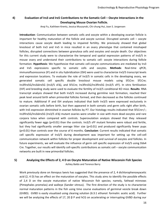#### **4) Evaluation of Irx3 and Irx5 Contributions to the Somatic Cell – Oocyte Interactions in the Developing Mouse Ovarian Follicle.**

Anqi Fu, Kathleen Krentz, Jessica Muszynski, Chi-chung Hui, Joan S. Jorgensen

**Introduction**: Communication between somatic cells and oocyte within a developing ovarian follicle is important for healthy maturation of the follicle and oocyte survival. Disrupted somatic cell – oocyte interactions cause oocyte death leading to impaired fertility. We previously showed that global knockout of both Irx3 and Irx5 in mice resulted in an ovary phenotype that contained misshaped follicles, disrupted connections between granulosa cells and oocytes and oocyte death. Our objectives for this current study were to characterize the temporal and spatial expression patterns of Irx3/5 in mouse ovary and understand their contributions to somatic cell- oocyte interactions during follicle formation. **Hypothesis**: We hypothesize that somatic cell-oocyte communications are mediated by Irx3 and Irx5 expressions specific to somatic cells and oocytes. **Methods**: Real-time qPCR, immunofluorescence (IF) and in situ hybridization (ISH) were used to characterize Irx3/5 transcript levels and expression locations. To evaluate the role of Irx3/5 in somatic cells in the developing ovary, we generated somatic cell specific double knockout mouse models using Sf1Cre: Sf1Cre; Irx3fIrx5G/Irx3ΔIrx5G (Irx3/5 sFΔ), and Sf1Cre; Irx3fIrx5G/Irx3fIrx5G (Irx3/5 sFF). In vitro fertilization (IVF) and breeding study were used to evaluate the fertility of Irx3/5 conditional KO mice. **Results**: RNA transcript analysis showed that both Irx3/5 increased during germline nest formation, reached their peak level around birth when primordial follicles formed, and then decreased as the follicles continued to mature. Additional IF and ISH analyses indicated that both Irx3/5 were expressed exclusively in ovarian somatic cells before birth, but then appeared in both somatic and germ cells right after birth, with Irx5 expression diminished in ovarian follicles by P7. Our histology results indicated that Sf1Cre+/-; Irx3fIrx5G/Irx3ΔIrx5G (Irx3/5 sFΔ) mutant ovaries were smaller in size with more dead oocytes and rare corpora lutea when compared with controls. Superovulation analysis showed that they released significantly fewer eggs (p<0.01) than the controls. Irx3/5 sFF mutant females were robust and fertile, but they had significantly smaller average litter size (p<0.01) and produced significantly fewer pups (p<0.01) than controls over the course of 6 months. **Conclusion**: Current results indicated that somatic cell specific expression of Irx3/5 during development was important for setting up the cell-cell communication network within follicles for proper development and survival of oocytes and follicles. In future experiments, we will evaluate the influence of germ cell specific expression of Irx3/5 using Ddx4 Cre. Together, our results will identify cell-specific contributions as somatic cell – oocyte communication networks are built in new primordial follicles.

#### **5) Analyzing the Effects of 2, 4 D on Oocyte Maturation of Native Wisconsin Fish Species** Ashley Baldo and Terence Barry

Work previously done on Xenopus laevis has suggested that the presence of 2, 4 dichlorophenoxyacetic acid (2, 4 D) has an effect on the maturation of oocytes. This study aims to identify the possible effects of 2,4 D on the oocyte maturation of native Wisconsin fish species; namely, fathead minnows (Pimephales promelas) and walleye (Sander vitreus). The first direction of the study is to characterize normal maturation patterns in the fish using time course evaluations of germinal vesicle break down (GVBD). GVBD is easily visualized using clearing solution (6:3:1 ethanol: formalin: acetic acid). Further we will be analyzing the effects of 17, 20  $\beta$  P and hCG on accelerating or interrupting GVBD during our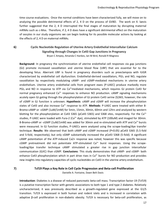time course evaluations. Once the normal conditions have been characterized fully, we will move on to analyzing the possible detrimental effects of 2, 4 D on the process of GVBD. The work on X. laevis further suggested that the 2, 4 D interrupted the final stages of maturation by disrupting maternal mRNAs such as c-Mos. Therefore, if 2, 4 D does have a significant detrimental effect on the maturation of oocytes in our study organisms we can begin looking for its possible molecular actions by looking at the effects of 2, 4 D on maternal mRNAs.

#### **6) Cyclic Nucleotide Regulation of Uterine Artery Endothelial Intercellular Calcium Signaling through Changes in Cx43 Gap Junctions in Pregnancy** Bryan C Ampey, Amanda C Hankes, Ian M Bird, Ronald R Magness

**Background**: In pregnancy the synchronization of uterine endothelial cell responses via gap junctions (GJ) promote increased vasodilation and uterine blood flow (UBF) that are essential for to the developing fetus. Aberrant UBF is found in pregnancy disorders such as preeclampsia with IUGR characterized by endothelial cell dysfunction. Endothelial-derived vasodilators, PGI<sub>2</sub> and NO, regulate vasodilation by respectively modulating cAMP- and cGMP-mediated mechanisms in uterine artery endothelium. Uterine artery endothelial cells from pregnant ewes (P-UAEC) produce markedly more  $PGI<sub>2</sub>$  and NO in response to ATP via Ca<sup>2+</sup>mediated mechanisms, which requires GJ protein Cx43 for normal pregnancy enhanced  $Ca<sup>2+</sup>$  responses to enhance NO production. cAMP signaling mechanisms acutely open GJ gating through the phosphorylation of GJ protein Cx43 serine (S)365, however, the role of cGMP in GJ function is unknown. **Hypothesis**: cAMP and cGMP will increase the phosphorylation states of Cx43 and also increase Ca<sup>2+</sup> response to ATP. Methods: P-UAEC were treated with either 8-Bromo-cAMP or -cGMP (1uM/1mM) for 5min, 15min, 30min, 60min and 12hrs and analyzed by western blotting for the phosphorylation at Cx43 S365 (pCx43 S365) and S368 sites, respectively. For the Ca<sup>2+</sup> studies, P-UAEC were loaded with Fura-2 (Ca<sup>2+</sup> dye), stimulated by ATP (100uM) and imaged for 30min. 8-Bromo-cAMP or -cGMP ( $1u$ M/ $1m$ M) was added for 30min and re-stimulated with ATP and Ca<sup>2+</sup> bursts were measured. In GJ function studies, P-UAECs were analyzed using the scrape-loading/dye transfer technique. **Results**: We observed that both cAMP and cGMP increased (P<0.05) pCx43 S365 (5.5-fold and 5-fold, respectively), but only cGMP substantially increased the pCx43 S368 (5-fold). A significant cAMP potentiation of the ATP-induced Ca2+ response was noted, however this was specific because  $cGMP$  pretreatment did not potentiate ATP-stimulated  $Ca<sup>2+</sup>$  burst responses. Using the scrapeloading/dye transfer technique cAMP stimulated a greater rise in gap junction intercellular communication (GJIC) than cGMP. **Conclusions**: This study demonstrates that cAMP- and cGMP- both enhance Cx43 phosphorylation which in part drive rises in  $Ca<sup>2+</sup>$  bursts for NO production and provides new insights into regulatory capacities of cyclic nucleotides on Cx43 in the uterine artery endothelium.

#### **7) Tcf19 Plays a Key Role in Cell Cycle Progression and Beta-cell Proliferation**

Danielle A. Fontaine, Dawn Belt Davis

**Introduction**: Diabetes is a disease of reduced pancreatic beta-cell mass. Transcription factor-19 (Tcf19) is a putative transcription factor with genetic associations to both type 1 and type 2 diabetes. Relatively uncharacterized, it was previously described as a growth-regulated gene expressed at the G1/S transition. Tcf19 is expressed in both human and rodent islets and is increased in correlation with adaptive β-cell proliferation in non-diabetic obesity. Tcf19 is necessary for beta-cell proliferation, as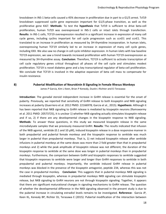knockdown in INS-1 beta-cells caused a 45% decrease in proliferation due in part to a G1/S arrest. Tcf19 knockdown suppressed cyclin gene expression important for G1/S-phase transition, as well as the proliferative gene Ki67. **Methods**: To test the **hypothesis** that Tcf19 is sufficient to drive beta-cell proliferation, human Tcf19 was overexpressed in INS-1 cells or intact islets through transfection. **Results**: In INS-1 cells, TCF19 overexpression resulted in a significant increase in expression of many cell cycle genes, including cyclins important for cell cycle progression such as ccnD1 and ccnE1. This translated to an increase in proliferation as measured by 3H-thymidine incorporation. In human islets, overexpressing human TCF19 similarly led to an increase in expression of many cell cycle genes, including XXX. We also saw no change in cell cycle inhibitor expression. In human islets with low baseline TCF19 expression, we saw a trend towards increased proliferation with human TCF19 overexpression as measured by 3H-thymidine assay. **Conclusion**: Therefore, TCF19 is sufficient to activate transcription of cell cycle regulatory genes critical throughout all phases of the cell cycle and stimulates modest proliferation. TCF19 is novel diabetes gene and a key transcriptional regulator of beta-cell proliferation. We conclude that TCF19 is involved in the adaptive expansion of beta cell mass to compensate for insulin resistance.

#### **8) Pubertal Modification of Neurokinin B Signaling in Female Rhesus Monkeys**

James P Garcia, Kim L Keen, Brian P Kenealy, Dustin J Richter and Ei Terasawa

**Introduction**: The gonadal steroid independent increase in GnRH release is essential for the onset of puberty. Previously, we reported that sensitivity of GnRH release to both kisspeptin and NKB signaling increases at puberty (Guerriero et al. 2012 PMID: 22166978; Garcia et al., 2015). **Hypothesis**: Although it has been reported that NKB signaling to GnRH release is mediated by kisspeptin neurons (Ramswarmy et al. 2011 PMID: 20573725), it is unclear 1) whether NKB signaling actually stimulates kisspeptin release and if so, 2) if there are any developmental changes in the kisspeptin response to NKB signaling. **Methods**: To answer these questions, in this study we measured kisspeptin release in the same microdialysate samples that we previously measured GnRH. **Results**: The results indicated that infusion of the NKB agonist, senktide (0.1 and 10  $\mu$ M), induced kisspeptin release in a dose responsive manner in both prepubertal and pubertal female monkeys and the kisspeptin response to senktide was much larger in pubertal than prepubertal monkeys. That is, 1) net induced kisspeptin release after senktide infusions in pubertal monkeys at the same doses was more than 2 fold greater than that in prepubertal monkeys and 2) while the peak amplitude of kisspeptin release was not different, the duration of the kisspeptin response to senktide at the same dose was longer in pubertal monkeys than in prepubertal monkeys. Furthermore, the comparison between GnRH and kisspeptin responses to senktide suggested that kisspeptin responses to senktide were larger and longer than GnRH responses to senktide in both prepubertal and pubertal monkeys. Importantly, the senktide induced GnRH release in pubertal monkeys was blocked in the presence of the kisspeptin antagonist, peptide 234, whereas this was not the case in prepubertal monkey. **Conclusion**: This suggests that in pubertal monkeys NKB signaling is mediated through kisspeptin, whereas in prepubertal monkeys NKB signaling can stimulate kisspeptin release, but NKB signaling to GnRH neurons are not through kisspeptin signaling. Together, it appears that there are significant maturational changes in signaling mechanisms to GnRH release. The question of whether the developmental difference in the NKB signaling observed in the present study is due to the pubertal increase in circulating estradiol levels remains to be investigated. **Reference:** Garcia JP, Keen KL, Kenealy BP, Richter DJ, Terasawa E (2015): Pubertal modification of the interaction between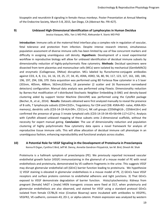kisspeptin and neurokinin B signaling in female rhesus monkeys. Poster Presentation at Annual Meeting of the Endocrine Society, March 5-8, 2015, San Diego, CA (Abstract No. FRI-427).

#### **9) Unbiased High-Dimensional Identification of Lymphocytes in Human Decidua**

Jessica Vazquez, MSc, Yan Li MD PhD, Aleksandar K. Stanic MD PhD

**Introduction**: Immune cells at the maternal-fetal interface play a complex role in regulation of vascular, fetal tolerance and protection from infection. Despite intense research interest, simultaneous population assessment of diverse immune cells has been limited by use of few concurrent markers and difficulty in assigning unambiguous cell density. **Hypothesis**: Development of a novel experimental workflow in reproductive biology will allow for unbiased identification of decidual immune subsets by dimensionality reduction of highly-polychormatic flow cytometry. **Methods**: Decidual specimens were dissected from term placentas and mononuclear cells (MCs) were isolated by mechanical (GentleMACS) and enzymatic (Collagenase, DNAse) disruption. MCs labeled by flurochorme-conjugate antibodies against CD3, 4, 8, 11c, 14, 16, 19, 25, 27, 34, 45, 45RA, 45RO, 56, 80, 94, 117, 123, 127, 161, 183, 184, 196, 197, 294, 336, 370. Data acquisition was performed using BD Fortessa flow cytometer in a 5 laser (355nm, 405nm, 488nm, 562nm,633nm), 18 parameter (2 scatter and 16 fluorescent narrowband detectors) configuration. Manual data analysis was performed using FlowJo. Dimensionality reduction by Barnes-Hut modification of t-distributed Stochastic Neighbor Embedding (t-SNE) and density-based clustering aided by support Vector Machine (DensVM) was performed using the Cytofkit package (Becher, B., et al., 2014). **Results**: Datasets obtained were first analyzed manually to reveal the presence of B cells, T lymphocyte subsets (CD4+CD25+, Tregulatory; for CD4 and CD8: 45RA+RO- naïve, 45RA-RO+ memory), dendritic cells (CD3-14-19-HLA-DR+, CD11c+), NK cell groups (CD56high16-, CD56int16+) and confirmed the presence of group 3 innate lymphoid cells (CD3-14-19-34-45+56+94-117+127+). Analysis with Cytofkit allowed unbiased mapping of these subsets onto 2-dimensional scaffolds, without the necessity for expert manual gating. **Conclusion**: The use of dimensionality reduction and population clustering of highly polychromatic flow cytometry data opens a novel framework for analysis of reproductive tissue immune cells. This will allow allocation of decidual immune cell phenotype in an unambiguous fashion, enhancing reproducibility and functional analysis across studies.

#### **10) A Potential Role for VEGF Signaling in the Development of Proteinuria in Preeclampsia**

Kenna R Organ, Cynthia E Bird, Jeff M. Denny, Annette Gendron-Fitzpatrick, Ian M. Bird, Dinesh M. Shah

Proteinuria is a hallmark symptom of preeclampsia (PE). We previously reported increased vascular endothelial growth factor (VEGF) immunostaining in the glomeruli of a mouse model of PE with renal endotheliosis and proteinuria, demonstrated by VE-cadherin fragments in the urine. This suggests VEGF may disrupt glomerular endothelial cell (GEnC) barrier function leading to proteinuria. We hypothesize 1) VEGF staining is elevated in glomerular endotheliosis in a mouse model of PE, 2) GEnCs have VEGF receptors and surface proteins common to endothelial adherens and tight junctions. 3) That GEnCs exposed to VEGF demonstrate degradation of barrier function. Histo/cytochemistry: Kidneys from pregnant [female] hAGT x [male] hREN transgenic crosses were fixed at D17, when proteinuria and glomerular endotheliosis are also observed, and stained for VEGF using a standard protocol GEnCs isolated from female C57BL/6 mice (Creative Bioarray) were incubated with antibodies to VEGFR1, VEGFR2, VE-cadherin, connexin-43, ZO-1, or alpha-catenin. Protein expression was analyzed by western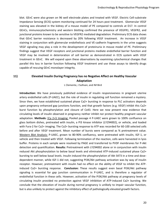blot. GEnC were also grown on 96 well electrode plates and treated with VEGF. Electric Cell-substrate Impedance Sensing (ECIS) system monitoring continued for 24 hours post treatment. Glomerular VEGF staining was elevated in the kidney of a mouse model of PE compared to controls at D17. In control GEnCs, immunocytochemistry and western blotting confirmed the presence of VEGFR1, VEGFR2, and junctional proteins known to be sensitive to VEGFR2 mediated degradation. Preliminary ECIS data shows that GEnC barrier resistance is decreased by 20% following VEGF treatment. An increase in VEGF staining in conjunction with glomerular endotheliosis and VE-cadherin fragments in the urine suggests VEGF signaling may play a role in the development of proteinuria in mouse model of PE. Preliminary findings suggest that VEGF receptors and junctional proteins mediate endothelial barrier function and VEGF may be involved in deterioration of cell barrier as demonstrated in ECIS system with VEGF treatment in GEnC. We will expand upon these observations by examining cytochemical changes that parallel this loss in barrier function following VEGF treatment and use these assays to identify drugs capable of rescuing GEnC monolayer integrity.

#### **11) Elevated Insulin During Pregnancy has no Negative Affect on Healthy Vascular Adaptation**

L Clemente, J Sullivan, and IM Bird

**Introduction:** We have previously published evidence of insulin responsiveness in pregnant uterine artery endothelial cells (P-UAEC), but the role of insulin in regulating cell function remained a mystery. Since then, we have established sustained phase Ca2+ bursting in response to PLC activators depends upon pregnancy enhanced gap junctions function, and that growth factors (e.g. VEGF) inhibit this Ca2+ burst function by phosphorylation and closure of Cx43. Here we now present new evidence that circulating levels of insulin observed in pregnancy neither inhibit nor protect healthy pregnant vascular adaptation. **Methods:** [Ca 2+]i Imaging: Pooled passage 4 P-UAEC were grown to 100% confluence on glass bottom dishes, pretreated with insulin, a PI3 kinase inhibitor (LY294002), or vehicle, and loaded with Fura-2 for Ca2+ imaging. The Ca2+ bursting response to ATP was recorded for 60-100 selected cells before and after VEGF treatment. Mean number of bursts were compared as % pretreatment value. Western Blot Analysis: P-UAEC, grown to 80-90% confluency, were pretreated with insulin, IGF-1, or vehicle and then treated with VEGF. Following termination of the reaction, cells were harvested in lysis buffer. Proteins in each sample were resolved by PAGE and transferred to PVDF membranes for P-Akt detection and quantification. **Results:** Pretreatment with LY294002 alone or in conjunction with insulin reduced Akt phosphorylation to below basal levels and eliminated ATP-induced sustained phase Ca2+ bursting to well below basal levels. Insulin induced the phosphorylation of Akt S473 in a time and dosedependent manner, while IGF-1 did not, suggesting PI3K/Akt pathway activation was by way of insulin receptor. However, pretreatment with insulin had no effect on the ability of VEGF to inhibit the ATPinduced Ca2+ bursting response. **Conclusion:** These results suggest even basal PI3K/Akt pathway signaling is essential for gap junction communication in P-UAEC, and is therefore a regulator of endothelial function in these cells. However, activation of the PI3K/Akt pathway at pregnancy levels of circulating insulin provided no protection against VEGF inhibition of ATP-induced Ca2+ bursting. We conclude that the elevation of insulin during normal pregnancy is unlikely to impair vascular function, but is also unlikely to protect against the inhibitory effect of pathologically elevated growth factors.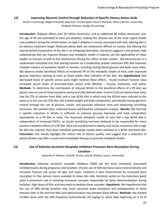#### **12) Improving Glycemic Control through Reduction of Specific Dietary Amino Acids**

Nicole E Cummings, Abigail B Radcliff, Sebastian I Arriola Apelo, Dawn S Sherman, Macy E Barnes, Jessica Wu, Elizabeth N Konon, Dudley W Lamming

**Introduction**: Diabetes affects over 29 million Americans, and an additional 86 million Americans over the age of 20 are estimated to have pre-diabetes, making this disease one of the most urgent health care problems facing the United States. As type 2 diabetes is closely associated with diet, altering diet is an obvious treatment target. Reduced-calorie diets are notoriously difficult to sustain, but altering the macronutrient composition of the diet is an intriguing alternative. Literature suggests a low protein, high carbohydrate diet can improve lifespan and metabolic health in rodents, yet the applicability of these studies to humans as well as the mechanisms driving this effect remain unclear. We demonstrate in a randomized controlled trial that placing humans on a moderately protein restricted (PR) diet improves multiple markers of metabolic health in humans, including fasting blood glucose and body mass index. We observe similar beneficial effects of moderate PR on the metabolic health of mice, with improved glucose tolerance starting as early as three weeks after initiation of the diet. We **hypothesized** that decreased levels of specific amino acids might mediate these effects. Insulin-resistant humans have increased serum levels of branched-chain amino acids (BCAAs) – leucine, isoleucine, and valine. **Methods:** To determine the contribution of reduced BCAAs to the beneficial effects of a PR diet, we placed mice on one of three isocaloric amino acid (AA) defined diets: Control (21% of calories from AAs), Low AA (7% of calories from AAs), and a Low BCAA diet in which only the BCAAs were reduced to the same as in the Low AA (7%) diet. We tracked weight and body composition, periodically testing glycemic control through the use of glucose, insulin, and pyruvate tolerance tests and measuring circulating hormones. We isolated islets, collected tissues and blood for subsequent analysis. **Results**: We find that a specific reduction in BCAAs is sufficient to improve glucose tolerance and body composition equivalently to a PR diet in mice. The improved metabolic health of mice fed a low BCAA diet is independent of increased FGF21, an insulin sensitizing hormone believed to be responsible for many positive metabolic effects of a PR diet. Mice pre-conditioned to obesity and insulin resistance with a high fat diet also improve their poor metabolic phenotype rapidly when switched to a BCAA restricted diet. **Conclusion**: Our results highlight the critical role of dietary quality, and suggest that a reduction of dietary BCAAs may offer a novel and translatable therapy to promote metabolic health.

#### **13) Use of Selective Serotonin Reuptake Inhibitors Promotes Bone Resorption During Lactation**

Samantha R. Weaver, Chad M. Vezina, Julia M. Charles, Laura L. Hernandez

**Introduction**: Selective serotonin reuptake inhibitors (SSRI) are the most commonly prescribed antidepressants during pregnancy and lactation. Chronic use of SSRI decreases bone mineral density and increases fracture risk across all ages and sexes. Lactation is also characterized by increased bone resorption to free calcium stores available to move into milk. Serotonin action on the mammary gland plays a prominent role in initiating hormonal cascades responsible for bone demineralization during lactation. High doses of folic acid may work to mediate these cascades. **Hypothesis**: We hypothesize that the use of SSRI during lactation may cause excessive bone resorption and predisposition to bone diseases later in life and that folic acid administration may dampen these effects. **Methods**: We treated C57B6/J dams with the SSRI fluoxetine hydrochloride (20 mg/kg) or saline daily beginning on d 13 of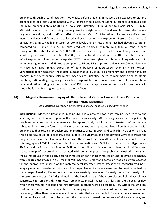pregnancy through d 10 of lactation. Two weeks before breeding, mice were also exposed to either a breeder diet, or a diet supplemented with 24 mg/kg of folic acid, resulting in: breeder diet/fluoxetine (BF; n=6), breeder diet/saline (BS; n=5), folic acid/fluoxetine (FF; n=6), and folic acid/saline (FS; n=6). Milk yield was recorded daily using the weigh-suckle-weigh method. Blood samples were taken before beginning injections, and on d1 and d10 of lactation. On d10 of lactation, mice were sacrificed and mammary glands and femurs were collected and evaluated for gene expression. **Results**: On d1 and d10 of lactation, BS mice had higher serum serotonin levels than BF mice and FS mice had elevated serotonin compared to FF mice (P<0.05). BF mice produced significantly more milk than all other groups throughout the entire lactation (P<0.0001). BF and FF mice had higher levels of circulating calcium than all other groups on d 1 of lactation (P<0.05), and this trend evened out on d 10 of lactation. Finally, mRNA expression of serotonin transporter SERT in mammary gland and bone-building osteocalcin in femur was higher in BS and FS groups compared to BF and FF groups, respectively (P<0.05). Additionally, FF mice had higher mRNA expression of bone building osteoprotegerin than BF mice (P<0.05). **Conclusion**: Taken together, these data suggest that SSRI use during pregnancy and lactation induces changes in the serotonergic-calcium axis. Specifically, fluoxetine increases mammary gland serotonin reuptake, stimulating signaling cascades responsible for bone resorption. Excessive bone demineralization during lactation with use of SSRI may predispose women to bone loss and folic acid should be further investigated to mediate these effects.

#### **14) Magnetic Resonance Imaging of Utero-Placental Vascular Flow and Tissue Perfusion in Pregnant Rhesus Macaques**

Jacob MacDonald, Sydney Nguyen, Kevin Johnson, Thaddeus Golos, Oliver Wieben

**Introduction**: Magnetic Resonance Imaging (MRI) is a powerful tool that can be used to view the anatomy and function of organs in the body non-invasively. MRI in pregnancy could help identify problems early so that the women can be appropriately monitored and treated before there is substantial harm to the fetus. Irregular or compromised utero-placental blood flow is associated with pregnancies that result in preeclampsia, miscarriage, preterm birth, and stillbirth. The ability to image this blood flow could be a predictive tool in adverse outcomes, and help develop ways to increase the pregnancy success rate of women plagued with these problems. Two MRI modalities that could assist in this imaging are PCVIPR for 4D vascular flow determination and PASL for tissue perfusion. **Hypothesis**: 4D flow and perfusion modalities for MRI could be utilized to image utero-placental blood flow, and create a map of abnormalities associated with common pregnancy problems. **Methods**: Pregnant rhesus macaques in their early second trimester or early third trimester of unproblematic pregnancy were sedated and imaged in a 3T magnet MRI machine. 4D flow and perfusion modalities were adapted for the appropriate imaging of the maternal-fetal interface. Image stacks were reconstructed postimaging session to create perfusion and flow maps. Anatomical scans were used to provide context for these maps. **Results**: Perfusion maps were successfully developed for early second and early third trimester pregnancies. A 3D digital model of the blood vessels of the utero-placental blood vessels was constructed for an early third trimester pregnancy. Digital images that illustrate the velocity of flow within these vessels in second and third trimester mothers were also created. Flow within the umbilical cord and uterine arteries was quantified. The imaging of the umbilical cord only showed one vein and one artery, rather than the one vein and two arteries that were expected. Gross anatomical assessment of the umbilical cord tissue collected from the pregnancy showed the presence of all three vessels, and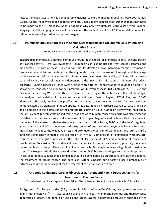histopathological assessment is pending. **Conclusions**: While the imaging modalities were both largely successful, the inability to image all three umbilical vessels might suggest that further changes may need to be made to the 4D modality. As it is not clear why only two umbilical cord vessels were imaged, imaging in additional pregnancies will make evident the capabilities of the 4D flow modality, as well as refine the stages of gestation for optimal imaging.

#### **15) Plumbagin Induces Apoptosis of Canine Osteosarcoma and Melanoma Cells by Inducing Oxidative Stress**

Yousef Alharbi, Arvinder Kapur, Mildred Felder, and Manish S Patankar

**Background**: Plumbagin, a natural compound found in the roots of plumbago plants, exhibits potent anti-cancer activity. Here, we investigate if plumbagin can also be used to treat canine sarcomas and melanomas. The goal of these studies is two-fold: (a) develop a novel paradigm for the treatment of canine cancer and (b) use the data from the dog model to support the use of plumbagin and its analogs for the treatment of human cancers. In this study, we have tested the activity of plumbagin against a panel of canine cancer cell lines and demonstrate the mechanism of action of this natural product. **Methods**: Canine cancer cell lines were treated with different concentration of plumbagin and MTT assays were conducted to monitor cell proliferation. Cleaved caspase, Nrf-2,Catalase, SOD1, Bcl2 and Bax were detected by Western blotting. **Results**: To investigate the anti-cancer effect of plumbagin, we analyzed cell viability of the canine cancer cell lines, Denny, Payton, 17CM, Eva, and CDAC. Plumbagin effectively inhibits the proliferation of canine cancer cells with IC50 of 5 mM. We next demonstrated that plumbagin induced apoptosis as determined by increase cleaved caspase 3 and Bax and a decrease in the expression of the anti-apoptotic protein Bcl-2. Plumbagin activity was inhibited by the anti-oxidant N-acetylcysteine indicating that similar to human cancer, this drug was also triggering oxidative stress in canine cancer cells. Increased ROS in plumbagin-treated cells resulted in increase in the level of the master oxidative stress regulating transcription factor, Nrf-2 and the Nrf-2 regulated genes, catalase and SOD-1. Increase in the expression of anti-oxidative enzymes is likely a resistance mechanism to reduce the oxidative stress and attenuate the activity of plumbagin. Brusatol, an Nrf-2 inhibitor significantly inhibited the expression of Nrf-2. Combination of plumbagin with brusatol resulted in a synergistic increase in the intracellular levels of ROS and inhibition of cancer cell proliferation. **Conclusion**: Our studies indicate that similar to human cancer cells, plumbagin is also a potent inhibitor of the proliferation of canine cancer cells. Plumbagin induces a high level of oxidative stress. The oxygen radicals likely cause double stranded DNA breaks and trigger cell death via apoptosis. These experiments suggest that plumbagin should be considered as an effective anti-cancer agent for the treatment of canine cancer. The data also further supports our efforts to use plumbagin as a cytotoxic chemotherapeutic agent for the treatment of human ovarian cancer.

#### **16) Antibody Conjugated-Cardiac Glycosides as Potent and Highly Selective Agents for Treatment of Ovarian Cancer**

Yousef Alharbi, Arvinder Kapur, Mildred Felder, Bikash Pattnaik, James Prudent, and Manish S Patankar

**Background**: Cardiac glycosides (CG), potent inhibitors of Na+/K+-ATPases, are potent anti-cancer agents that inhibit Na+/K+-ATPase, causing dramatic changes in membrane potential and thereby cause apoptotic cell death. The benefit of CGs as anti-cancer agents is restricted because of their toxicity to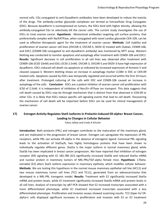normal cells. CGs conjugated to anti-Dysadherin antibodies have been developed to reduce the toxicity of the drugs. The antibody-cardiac glycoside complexes are termed as Extracellular Drug Conjugates (EDC). Because dysadherin is overexpressed on tumors, the EDCs bind with higher density, allowing the antibody-conjugated CGs to selectively kill the cancer cells. The current study investigates the use of EDCs to treat ovarian cancer. **Hypothesis**: Monoclonal antibodies targeting cell surface proteins, that preferentially complex with Na/KATPase, when conjugated with novel cardiac glycoside CEN-109, can be used as effective therapeutic agent for the treatment of ovarian cancer. **Methods**: Cell viability and proliferation of ovarian cancer cell lines (OVCAR-3, OVCAR-5, SKOV-3) treated with Oubian, CEN09-106, and EDC1 (CEN09-106 conjugated to anti-dysadherin antibody) was monitored by MTT assay. Western blotting was conducted to monitor apoptosis and autophagy after treatment with CEN09-106 and EDC1. **Results**: Significant decrease in cell proliferation in all cell lines was observed after treatment with CEN09-106 (IC50 10nM) and EDCs (IC50 2.5nM). OVCAR-3, OVCAR-5 and SKOV-3 have high expression of dysadherin. EDCs induced cell death via apoptosis as indicated by increased expression of Annexin V and cleaved caspase-3. Western blotting shows an increase in autophagy marker LC3BII in EDC or CEN-09 treated cells. Apoptosis caused by EDCs was temporally regulated and occurred within the first 24 hours after treatment. Prolonged culturing of the cells with EDC and CEN09-106 caused an increase in autophagy of the cells. **Conclusion**: EDCs are a potent inhibitor of ovarian cancer cell proliferation with IC50 of 2.5nM. it is Independent of inhibition of Na+/K+-ATPase ion transport. This data suggests that cell death caused by EDCs may be through mechanism that is distinct from that observed in CEN-09 or other CGs. It is likely that EDCs induce specific cell signaling events that lead to cell death. Discovering the mechanism of cell death will be important before EDCs can be used for clinical management of ovarian cancer.

#### **17) Estrogen Activity Regulates Stat5 Isoforms in Prolactin-Induced ER-alpha+ Breast Cancer, Leading to Changes in Cellular Behavior**

Fatou Jallow and Linda A Schuler

**Introduction**: Both prolactin (PRL) and estrogen contribute to the maturation of the mammary gland, and are implicated in the progression of breast cancer. Estrogen can upregulate the expression of PRL receptors, while PRL can activate ER-alpha in the absence of estrogenic ligand. Canonical PRL signaling leads to the activation of Stat5a/b, two highly homologous proteins that have been shown to individually regulate different genes. Stat5a is the major isoform in normal mammary gland, while Stat5b has been implicated in breast cancer progression. We have reported that inhibition of estrogen receptor (ER) signaling with ICI 182,780 (ICI) significantly increased Stat5b and reduced Stat5a mRNA and nuclear protein in mammary tumors of NRL-PRL/TGF-alpha female mice. **Hypothesis**: 17betaestradiol (E2) alters Stat5 isoform expression in mammary epithelia, which modifies cellular behavior. **Methods**: We are testing this hypothesis in the normal mouse mammary epithelial cell line (HC11) and two mouse mammary tumor cell lines (TC2 and TC11), generated from an adenocarcinoma that developed in a NRL-PRL transgenic model. **Results**: Treatment with E2 significantly increased Stat5a mRNA and protein levels, while ICI treatment significantly increased Stat5b mRNA and protein levels in all cell lines. Analysis of transcripts by qRT-PCR showed that E2 increased transcripts associated with a more differentiated phenotype, while ICI treatment increased transcripts associated with a less differentiated phenotype. Proliferation and invasion assays showed surprising results. TC2 (Gper-hi/ ERalpha+) cells displayed significant increases in proliferation and invasion with E2 or ICI treatment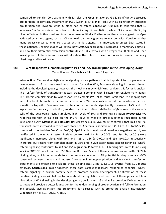compared to vehicle. Co-treatment with ICI plus the Gper antagonist, G-36, significantly decreased proliferation. In contrast, treatment of TC11 (Gper-lo/ ER-alpha+) cells with E2 significantly increased proliferation and invasion, while ICI alone had no effect. **Conclusion**: Our results confirmed that E2 increases Stat5a, associated with transcripts indicating differentiation, while ICI increases Stat5b, by direct effects on both normal and tumor mammary epithelia. Furthermore, these data suggest that Gper activated by antiestrogens, such as ICI, can lead to more aggressive cellular behavior. Considering that many breast cancer patients are treated with antiestrogens, it is important to assess Gper status in these patients. Ongoing studies will reveal how Stat5a/b expression is regulated in mammary epithelia, and how their differential expression contributes to PRL crosstalk with estrogen via ER-alpha and Gper. Investigation of these interactions will elucidate the roles of these hormones in normal mammary physiology and breast cancer.

#### **18) Wnt Responsive Elements Regulate Irx3 and Irx5 Transcription in the Developing Ovary** Megan Hornung, Makoto Mark Taketo, Joan S Jorgensen

**Introduction**: Canonical Wnt/β-catenin signaling is one pathway that is important for proper ovarian development. Irx3 has been used as a marker for active Wnt/β-catenin signaling in several tissues, including the developing ovary; however, the mechanism by which Wnt regulates this factor is unclear. The TCF/LEF family of transcription factors creates a complex with β-catenin to regulate many genes. This protein complex binds to Wnt responsive elements (WREs) to cause significant DNA looping that may alter local chromatin structure and interactions. We previously reported that in vitro and in vivo somatic cell-specific β-catenin loss of function experiments significantly decreased Irx3 and Irx5 expression in the ovary. In addition, we described that in vitro stabilization of β-catenin in the somatic cells of the developing testis stimulates high levels of Irx3 and Irx5 transcription. **Hypothesis**: We hypothesized that WREs exist on the Irx3/5 locus to mediate direct β-catenin regulation in the developing ovary. **Methods and Results**: Results from our in vivo study confirmed that Irx3 and Irx5 transcripts were increased in testes with stabilized β-catenin in somatic cells (SF1-Cre+/-; CtnnbΔex3/+) compared to control (No Cre; CtnnbΔex3/+). Rps29, a ribosomal protein used as a negative control, was unaffected in the mutant testes. Positive controls Axin2 (11x, p<0.005) and Fst (7x, p<0.01) were significantly increased along with Irx3 and Irx5 at 16x (p<0.001) and 19x (p<0.01), respectively. Therefore, our results from complementary in vitro and in vivo experiments suggest canonical Wnt/βcatenin signaling contributes to Irx3 and Irx5 regulation. Putative TCF/LEF binding sites were found using in silico ENCODE data from the UCSC Genome Browser. Many of these sites co-localized with H3K27Ac binding sites, which corresponds to active enhancer elements. All potential binding sites are >90% conserved between human and mouse. Chromatin immunoprecipitation and transient transfection experiments are ongoing to evaluate these binding sites using E13.5-14.5 ovaries from CD1 mouse embryos. **Conclusions**: Taken together, these data suggest that Irx3/5 respond to canonical Wnt/βcatenin signaling in ovarian somatic cells to promote ovarian development. Confirmation of these putative binding sites will help us to understand the regulation and function of these genes, and how disruption of Wnt signaling in the developing ovary could alter Irx3 and Irx5 expression. Delineating this pathway will provide a better foundation for the understanding of proper ovarian and follicle formation, and possibly give us insight into treatments for diseases such as premature ovarian insufficiency. Supported by NIH-R01HD075079 (JSJ).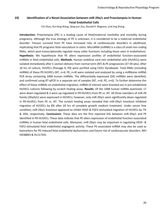#### **19) Identification of a Novel Association between miR-29a/c and Preeclampsia in Human Fetal Endothelial Cells**

Chi Zhou, Rui-fang Wang, Qing-yun Zou, Ronald R. Magness, and Jing Zheng

**Introduction**: Preeclampsia (PE) is a leading cause of fetal/maternal morbidity and mortality during pregnancy. Although the true etiology of PE is unknown, it is considered to be a maternal endothelial disorder. Fetuses survived from PE have increased risks of cardiovascular disorders in adulthood, implicating that PE programs fetal vasculature in utero. MicroRNA (miRNA) is a class of small non-coding RNAs, which post-transcriptionally regulate many cellar functions including those seen in endothelium. **Hypothesis**: We hypothesize that PE alters expression profiles of endothelial function-associated miRNAs in fetal endothelial cells. **Methods**: Human umbilical cord vein endothelial cells (HUVECs) were isolated immediately after C-section delivery from normal term (NT) & PE pregnancies (37-39 wks). After 16 hrs of culture, HUVECs (Passage 0; P0) were purified using CD31 Dynabeads. Total RNAs (including miRNA) of these P0 HUVECs (NT, n=4; PE, n=4) were isolated and analyzed by using a miRNome miRNA PCR Array containing 1008 human miRNAs. The differentially expressed (DE) miRNAs were identified, and confirmed using RT-qPCR in a separate set of samples (NT, n=6; PE, n=6). To further determine the effect of these miRNAs on endothelial migration, miRNA of interest were knocked out in pre-established HUVECs cultures following by scratch healing assay. **Results**: Of the 1008 human miRNA examined, 17 were down-regulated & 3 were up-regulated in P0-HUVECs from PE vs. NT. All three members of miR-29 family (29a/b/c) were expressed in HUVECs; however, only miR-29a/c were significantly down-regulated in P0-HUVECs from PE vs. NT. The scratch healing assay revealed that miR-29a/c knockout inhibited migration of HUVECs by 8% after 20 hrs of complete growth medium treatment. Under serum free condition, miR-29a/c knockout appeared to inhibit VEGF-& FGF2-stimulated migration of HUVECs by 7% & 26%, respectively. **Conclusions**: These data are the first reported link between miR-29a/c and PE identified in P0-HUVECs. These data indicate that PE alters expression of endothelial function-associated miRNAs in human fetal endothelial cells. Moreover, miR-29a/c may be important in regulating VEGF- & FGF2-stimulated fetal endothelial angiogenic activity. These PE-associated miRNA may also be used as biomarkers for PE-induced fetal endothelial dysfunctions and future risk of cardiovascular disorders. NIH HD38843 & HL117341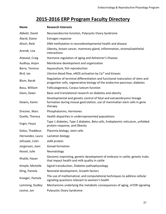# **2015-2016 ERP Program Faculty Directory**

| <b>Name</b>      | <b>Research Interests</b>                                                                                                                                    |  |
|------------------|--------------------------------------------------------------------------------------------------------------------------------------------------------------|--|
| Abbott, David    | Neuroendocrine function, Polycystic Ovary Syndrome                                                                                                           |  |
| Alarid, Elaine   | Estrogen response                                                                                                                                            |  |
| Alisch, Reid     | DNA methylation in neurodevelopmental health and disease                                                                                                     |  |
| Arendt, Lisa     | Obesity, breast cancer, mammary gland, inflammation, stromal/epithelial<br>interactions                                                                      |  |
| Atwood, Craig    | Hormone regulation of aging and Alzheimer's Disease                                                                                                          |  |
| Audhya, Anjon    | Membrane development and organization                                                                                                                        |  |
| Barry, Terence   | Aquaculture, fish reproduction                                                                                                                               |  |
| Bird, lan        | Uterine blood flow, eNOS activation by Ca <sup>2+</sup> and kinases                                                                                          |  |
| Blum, Barak      | Regulation of terminal differentiation and functional maturation of stem and<br>progenitor cells; regenerative biology of the endocrine pancreas; diabetes   |  |
| Bosu, William    | Folliculogenesis, Corpus luteum function                                                                                                                     |  |
| Davis, Dawn      | Basic and translational research on diabetes and obesity                                                                                                     |  |
| Downs, Karen     | Developmental and genetic control of fetal and extraembryonic lineage<br>formation during mouse gastrulation, use of mammalian stem cells in gene<br>therapy |  |
| Drezner, Marc    | Phosphatonins, Hormones                                                                                                                                      |  |
| Duello, Theresa  | Health disparities in underrepresented populations                                                                                                           |  |
| Engin, Feyza     | Type 1 diabetes, Type 2 diabetes, Beta cells, Endoplasmic reticulum, unfolded<br>protein response, and Obesity                                               |  |
| Golos, Thaddeus  | Placenta biology, stem cells                                                                                                                                 |  |
| Hernandez, Laura | Lactation biology                                                                                                                                            |  |
| Jefcoate, Colin  | stAR protein                                                                                                                                                 |  |
| Jorgensen, Joan  | Gonad formation                                                                                                                                              |  |
| Kessel, Julie    | Neonatology                                                                                                                                                  |  |
| Khatib, Hasan    | Genomic imprinting, genetic development of embryos in cattle; genetic traits<br>that impact health and milk quality in cattle                                |  |
| Kimple, Michelle | Signal transduction, Diabetes pathophysiology                                                                                                                |  |
| Kling, Pamela    | Neonatal development, Growth factors                                                                                                                         |  |
| Kreeger, Pamela  | The use of mathematical, and computational techniques to address cellular<br>signaling questions relevant to women's health                                  |  |
| Lamming, Dudley  | Mechanisms underlying the metabolic consequences of aging, mTOR signaling                                                                                    |  |
| Levine, Jon      | Polycystic Ovary Syndrome                                                                                                                                    |  |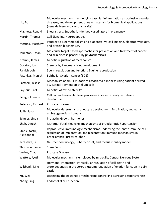| Liu, Bo                      | Molecular mechanism underlying vascular inflammation an occlusive vascular<br>diseases, and development of new materials for biomedical applications<br>(gene delivery and vascular grafts) |
|------------------------------|---------------------------------------------------------------------------------------------------------------------------------------------------------------------------------------------|
| Magness, Ronald              | Shear stress, Endothelial-derived vasodilators in pregnancy                                                                                                                                 |
| Martin, Thomas               | Cell Signaling, neuropeptides                                                                                                                                                               |
| Merrins, Matthew             | Pancreatic islet metabolism and diabetes; live-cell imaging, electrophysiology,<br>and protein biochemistry                                                                                 |
| Mukhtar, Hasan               | Molecular target based approaches for prevention and treatment of cancer<br>and skin disease psoriasis by phytochemicals                                                                    |
| Ntambi, James                | Genetic regulation of metabolism                                                                                                                                                            |
| Odorico, Jon                 | Stem cells, Pancreatic islet development                                                                                                                                                    |
| Parrish, John                | Sperm regulation and function, Equine reproduction                                                                                                                                          |
| Patankar, Manish             | Epithelial Ovarian Cancer (EOS)                                                                                                                                                             |
| Pattnaik, Bikash             | Mechanism of Kir7.1 mutations associated blindness using patient derived<br>iPS-Retinal Pigment Epithelium cells                                                                            |
| Payseur, Bret                | Genetics of hybrid sterility                                                                                                                                                                |
| Pelegri, Francisco           | Cellular and molecular level processes involved in early vertebrate<br>development                                                                                                          |
| Peterson, Richard            | Prostate disease                                                                                                                                                                            |
| Salih, Sana                  | Molecular determinants of oocyte development, fertilization, and early<br>embryogenesis in humans                                                                                           |
| Schuler, Linda               | Prolactin, Growth hormones                                                                                                                                                                  |
| Shah, Dinesh                 | Maternal-Fetal Medicine, mechanisms of preeclamptic hypertension                                                                                                                            |
| Stanic-Kostic,<br>Aleksandar | Reproductive Immunology: mechanisms underlying the innate immune cell<br>regulation of implantation and placentation; immune mechanisms in<br>preeclampsia, preterm labor                   |
| Terasawa, Ei                 | Neuroendocrinology, Puberty onset, and rhesus monkey model                                                                                                                                  |
| Thomson, James               | <b>Stem Cells</b>                                                                                                                                                                           |
| Vezina, Chad                 | Prostate Disease                                                                                                                                                                            |
| Watters, Jyoti               | Molecular mechanisms employed by microglia, Central Nervous System                                                                                                                          |
| Wiltbank, Milo               | Hormonal interaction; intracellular regulation of cell death and<br>steroidogenesis in the corpus luteum; regulation of ovarian function in dairy<br>cattle                                 |
| Xu, Wei                      | Dissecting the epigenetic mechanisms controlling estrogen responsiveness                                                                                                                    |
| Zheng, Jing                  | Endothelial cell function                                                                                                                                                                   |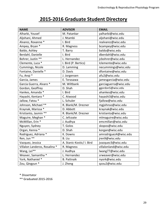# **2015-2016 Graduate Student Directory**

| <b>NAME</b>                   | <b>ADVISOR</b>            | <b>EMAIL</b>          |
|-------------------------------|---------------------------|-----------------------|
| Alharbi, Yousef               | M. Patankar               | yalharbi@wisc.edu     |
| Aljohani, Ahmed               | J. Ntambi                 | aljohani@wisc.edu     |
| Alvarez, Roxanne *            | I. Bird                   | realvarez@wisc.edu    |
| Ampey, Bryan *                | R. Magness                | bcampey@wisc.edu      |
| Baldo, Ashley                 | T. Barry                  | baldo@wisc.edu        |
| Berdahl, Danielle             | I. Bird                   | dberdahl@wisc.edu     |
| Bohrer, Justin **             | L. Hernandez              | jcbohrer@wisc.edu     |
| Clemente, Luca *              | I. Bird (P. Bertics)      | lclemente@wisc.edu    |
| Cummings, Nicole              | D. Lamming                | necummings@wisc.edu   |
| Fontaine, Danielle *          | D. Davis                  | dfontaine@wisc.edu    |
| Fu, Angi *                    | J. Jorgensen              | afu2@wisc.edu         |
| Garcia, James                 | E. Terasawa               | jamesgarcia@wisc.edu  |
| Garcia Guerra, Alvaro *       | M. Wiltbank               | garciaguerra@wisc.edu |
| Gordon, Geoffrey              | D. Shah                   | ggordon5@wisc.edu     |
| Hankes, Amanda *              | I. Bird                   | ahankes@wisc.edu      |
| Hayashi, Kentaro *            | C. Atwood                 | hayashi3@wisc.edu     |
| Jallow, Fatou *               | L. Schuler                | fjallow@wisc.edu      |
| Johnson, Michael **           | R. Blank/M. Drezner       | mgjohnso@wisc.edu     |
| Kraynak, Marissa *            | D. Abbott                 | kraynak@wisc.edu      |
| Kristianto, Jasmin **         | R. Blank/M. Drezner       | kristianto@wisc.edu   |
| Maguire, Meghan *             | C. Jefcoate               | mlmaguire@wisc.edu    |
| McMillan, Erin *              | J. Audhya                 | emcmillan@wisc.edu    |
| Nguyen, Sydney                | T. Golos                  | skopos@wisc.edu       |
| Organ, Kenna *                | D. Shah                   | korgan@wisc.edu       |
| Rodriguez, Adriana *          | K. Downs                  | amrodriguez4@wisc.edu |
| Ren, Jun **                   | B. Liu                    | jren9@wisc.edu        |
| Vazquez, Jessica              | A. Stanic-Kostic/ I. Bird | jvazquez3@wisc.edu    |
| Villalon Landeros, Rosalina * | R. Magness                | villalonland@wisc.edu |
| Wang, Lei**                   | J. Audhya                 | lwang77@wisc.edu      |
| Weaver, Samantha *            | L. Hernandez              | srweaver@wisc.edu     |
| York, Nathaniel *             | <b>B.</b> Pattnaik        | nyork@wisc.edu        |
| Zou, Qingyun *                | J. Zheng                  | qzou2@wisc.edu        |

\* Dissertator

\*\* Graduated 2015-2016